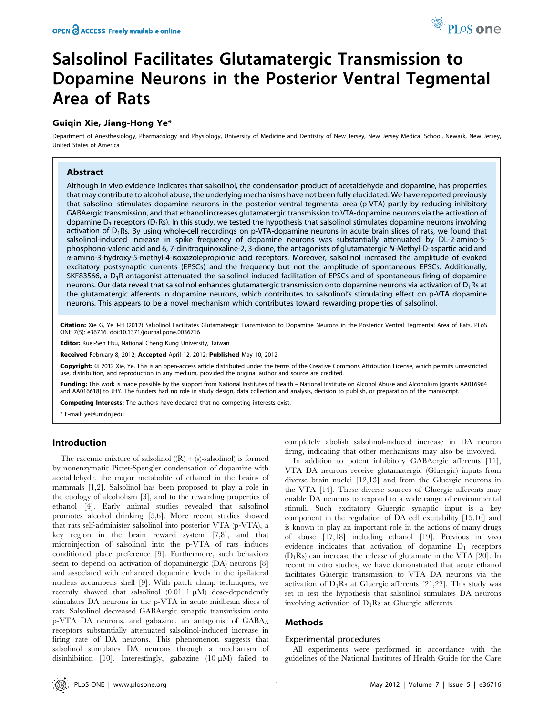# Salsolinol Facilitates Glutamatergic Transmission to Dopamine Neurons in the Posterior Ventral Tegmental Area of Rats

# Guiqin Xie, Jiang-Hong Ye\*

Department of Anesthesiology, Pharmacology and Physiology, University of Medicine and Dentistry of New Jersey, New Jersey Medical School, Newark, New Jersey, United States of America

# Abstract

Although in vivo evidence indicates that salsolinol, the condensation product of acetaldehyde and dopamine, has properties that may contribute to alcohol abuse, the underlying mechanisms have not been fully elucidated. We have reported previously that salsolinol stimulates dopamine neurons in the posterior ventral tegmental area (p-VTA) partly by reducing inhibitory GABAergic transmission, and that ethanol increases glutamatergic transmission to VTA-dopamine neurons via the activation of dopamine  $D_1$  receptors ( $D_1$ Rs). In this study, we tested the hypothesis that salsolinol stimulates dopamine neurons involving activation of  $D_1$ Rs. By using whole-cell recordings on p-VTA-dopamine neurons in acute brain slices of rats, we found that salsolinol-induced increase in spike frequency of dopamine neurons was substantially attenuated by DL-2-amino-5 phosphono-valeric acid and 6, 7-dinitroquinoxaline-2, 3-dione, the antagonists of glutamatergic N-Methyl-D-aspartic acid and a-amino-3-hydroxy-5-methyl-4-isoxazolepropionic acid receptors. Moreover, salsolinol increased the amplitude of evoked excitatory postsynaptic currents (EPSCs) and the frequency but not the amplitude of spontaneous EPSCs. Additionally, SKF83566, a  $D_1R$  antagonist attenuated the salsolinol-induced facilitation of EPSCs and of spontaneous firing of dopamine neurons. Our data reveal that salsolinol enhances glutamatergic transmission onto dopamine neurons via activation of  $D_1Rs$  at the glutamatergic afferents in dopamine neurons, which contributes to salsolinol's stimulating effect on p-VTA dopamine neurons. This appears to be a novel mechanism which contributes toward rewarding properties of salsolinol.

Citation: Xie G, Ye J-H (2012) Salsolinol Facilitates Glutamatergic Transmission to Dopamine Neurons in the Posterior Ventral Tegmental Area of Rats. PLoS ONE 7(5): e36716. doi:10.1371/journal.pone.0036716

Editor: Kuei-Sen Hsu, National Cheng Kung University, Taiwan

Received February 8, 2012; Accepted April 12, 2012; Published May 10, 2012

**Copyright:** © 2012 Xie, Ye. This is an open-access article distributed under the terms of the Creative Commons Attribution License, which permits unrestricted use, distribution, and reproduction in any medium, provided the original author and source are credited.

Funding: This work is made possible by the support from National Institutes of Health – National Institute on Alcohol Abuse and Alcoholism [grants AA016964 and AA016618] to JHY. The funders had no role in study design, data collection and analysis, decision to publish, or preparation of the manuscript.

Competing Interests: The authors have declared that no competing interests exist.

\* E-mail: ye@umdnj.edu

#### Introduction

The racemic mixture of salsolinol  $(R) + (s)$ -salsolinol) is formed by nonenzymatic Pictet-Spengler condensation of dopamine with acetaldehyde, the major metabolite of ethanol in the brains of mammals [1,2]. Salsolinol has been proposed to play a role in the etiology of alcoholism [3], and to the rewarding properties of ethanol [4]. Early animal studies revealed that salsolinol promotes alcohol drinking [5,6]. More recent studies showed that rats self-administer salsolinol into posterior VTA (p-VTA), a key region in the brain reward system [7,8], and that microinjection of salsolinol into the p-VTA of rats induces conditioned place preference [9]. Furthermore, such behaviors seem to depend on activation of dopaminergic (DA) neurons [8] and associated with enhanced dopamine levels in the ipsilateral nucleus accumbens shell [9]. With patch clamp techniques, we recently showed that salsolinol  $(0.01-1 \mu M)$  dose-dependently stimulates DA neurons in the p-VTA in acute midbrain slices of rats. Salsolinol decreased GABAergic synaptic transmission onto p-VTA DA neurons, and gabazine, an antagonist of GABAA receptors substantially attenuated salsolinol-induced increase in firing rate of DA neurons. This phenomenon suggests that salsolinol stimulates DA neurons through a mechanism of disinhibition [10]. Interestingly, gabazine  $(10 \mu M)$  failed to

completely abolish salsolinol-induced increase in DA neuron firing, indicating that other mechanisms may also be involved.

In addition to potent inhibitory GABAergic afferents [11], VTA DA neurons receive glutamatergic (Gluergic) inputs from diverse brain nuclei [12,13] and from the Gluergic neurons in the VTA [14]. These diverse sources of Gluergic afferents may enable DA neurons to respond to a wide range of environmental stimuli. Such excitatory Gluergic synaptic input is a key component in the regulation of DA cell excitability [15,16] and is known to play an important role in the actions of many drugs of abuse [17,18] including ethanol [19]. Previous in vivo evidence indicates that activation of dopamine D1 receptors (D1Rs) can increase the release of glutamate in the VTA [20]. In recent in vitro studies, we have demonstrated that acute ethanol facilitates Gluergic transmission to VTA DA neurons via the activation of  $D_1Rs$  at Gluergic afferents [21,22]. This study was set to test the hypothesis that salsolinol stimulates DA neurons involving activation of  $D_1R_s$  at Gluergic afferents.

# Methods

#### Experimental procedures

All experiments were performed in accordance with the guidelines of the National Institutes of Health Guide for the Care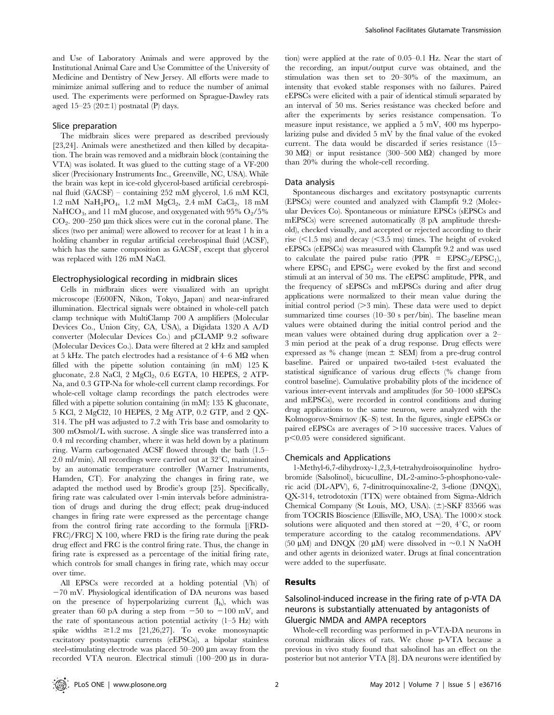and Use of Laboratory Animals and were approved by the Institutional Animal Care and Use Committee of the University of Medicine and Dentistry of New Jersey. All efforts were made to minimize animal suffering and to reduce the number of animal used. The experiments were performed on Sprague-Dawley rats aged 15–25 (20 $\pm$ 1) postnatal (P) days.

#### Slice preparation

The midbrain slices were prepared as described previously [23,24]. Animals were anesthetized and then killed by decapitation. The brain was removed and a midbrain block (containing the VTA) was isolated. It was glued to the cutting stage of a VF-200 slicer (Precisionary Instruments Inc., Greenville, NC, USA). While the brain was kept in ice-cold glycerol-based artificial cerebrospinal fluid (GACSF) – containing 252 mM glycerol, 1.6 mM KCl,  $1.2 \text{ mM } \text{NaH}_2\text{PO}_4$ ,  $1.2 \text{ mM } \text{MgCl}_2$ ,  $2.4 \text{ mM } \text{CaCl}_2$ ,  $18 \text{ mM}$ NaHCO<sub>3</sub>, and 11 mM glucose, and oxygenated with 95% O<sub>2</sub>/5%  $CO<sub>2</sub>$ . 200–250 µm thick slices were cut in the coronal plane. The slices (two per animal) were allowed to recover for at least 1 h in a holding chamber in regular artificial cerebrospinal fluid (ACSF), which has the same composition as GACSF, except that glycerol was replaced with 126 mM NaCl.

#### Electrophysiological recording in midbrain slices

Cells in midbrain slices were visualized with an upright microscope (E600FN, Nikon, Tokyo, Japan) and near-infrared illumination. Electrical signals were obtained in whole-cell patch clamp technique with MultiClamp 700 A amplifiers (Molecular Devices Co., Union City, CA, USA), a Digidata 1320 A A/D converter (Molecular Devices Co.) and pCLAMP 9.2 software (Molecular Devices Co.). Data were filtered at 2 kHz and sampled at 5 kHz. The patch electrodes had a resistance of  $4-6$  M $\Omega$  when filled with the pipette solution containing (in mM) 125 K gluconate, 2.8 NaCl, 2 MgCl<sub>2</sub>, 0.6 EGTA, 10 HEPES, 2 ATP-Na, and 0.3 GTP-Na for whole-cell current clamp recordings. For whole-cell voltage clamp recordings the patch electrodes were filled with a pipette solution containing (in mM): 135 K gluconate, 5 KCl, 2 MgCl2, 10 HEPES, 2 Mg ATP, 0.2 GTP, and 2 QX-314. The pH was adjusted to 7.2 with Tris base and osmolarity to 300 mOsmol/L with sucrose. A single slice was transferred into a 0.4 ml recording chamber, where it was held down by a platinum ring. Warm carbogenated ACSF flowed through the bath (1.5–  $2.0$  ml/min). All recordings were carried out at  $32^{\circ}$ C, maintained by an automatic temperature controller (Warner Instruments, Hamden, CT). For analyzing the changes in firing rate, we adapted the method used by Brodie's group [25]. Specifically, firing rate was calculated over 1-min intervals before administration of drugs and during the drug effect; peak drug-induced changes in firing rate were expressed as the percentage change from the control firing rate according to the formula [(FRD-FRC)/FRC] X 100, where FRD is the firing rate during the peak drug effect and FRC is the control firing rate. Thus, the change in firing rate is expressed as a percentage of the initial firing rate, which controls for small changes in firing rate, which may occur over time.

All EPSCs were recorded at a holding potential (Vh) of  $-70$  mV. Physiological identification of DA neurons was based on the presence of hyperpolarizing current  $(I_h)$ , which was greater than 60 pA during a step from  $-50$  to  $-100$  mV, and the rate of spontaneous action potential activity  $(1-5 Hz)$  with spike widths  $\geq$ 1.2 ms [21,26,27]. To evoke monosynaptic excitatory postsynaptic currents (eEPSCs), a bipolar stainless steel-stimulating electrode was placed  $50-200 \mu m$  away from the recorded VTA neuron. Electrical stimuli (100–200 µs in duration) were applied at the rate of 0.05–0.1 Hz. Near the start of the recording, an input/output curve was obtained, and the stimulation was then set to 20–30% of the maximum, an intensity that evoked stable responses with no failures. Paired eEPSCs were elicited with a pair of identical stimuli separated by an interval of 50 ms. Series resistance was checked before and after the experiments by series resistance compensation. To measure input resistance, we applied a 5 mV, 400 ms hyperpolarizing pulse and divided 5 mV by the final value of the evoked current. The data would be discarded if series resistance (15– 30 M $\Omega$ ) or input resistance (300–500 M $\Omega$ ) changed by more than 20% during the whole-cell recording.

#### Data analysis

Spontaneous discharges and excitatory postsynaptic currents (EPSCs) were counted and analyzed with Clampfit 9.2 (Molecular Devices Co). Spontaneous or miniature EPSCs (sEPSCs and mEPSCs) were screened automatically (8 pA amplitude threshold), checked visually, and accepted or rejected according to their rise  $\langle$  <1.5 ms) and decay  $\langle$  <3.5 ms) times. The height of evoked eEPSCs (eEPSCs) was measured with Clampfit 9.2 and was used to calculate the paired pulse ratio (PPR =  $EPSC<sub>2</sub>/EPSC<sub>1</sub>$ ), where  $EPSC_1$  and  $EPSC_2$  were evoked by the first and second stimuli at an interval of 50 ms. The eEPSC amplitude, PPR, and the frequency of sEPSCs and mEPSCs during and after drug applications were normalized to their mean value during the initial control period  $(>3$  min). These data were used to depict summarized time courses (10–30 s per/bin). The baseline mean values were obtained during the initial control period and the mean values were obtained during drug application over a 2– 3 min period at the peak of a drug response. Drug effects were expressed as % change (mean  $\pm$  SEM) from a pre-drug control baseline. Paired or unpaired two-tailed t-test evaluated the statistical significance of various drug effects (% change from control baseline). Cumulative probability plots of the incidence of various inter-event intervals and amplitudes (for 50–1000 sEPSCs and mEPSCs), were recorded in control conditions and during drug applications to the same neuron, were analyzed with the Kolmogorov-Smirnov (K–S) test. In the figures, single eEPSCs or paired eEPSCs are averages of  $>10$  successive traces. Values of  $p<0.05$  were considered significant.

#### Chemicals and Applications

1-Methyl-6,7-dihydroxy-1,2,3,4-tetrahydroisoquinoline hydrobromide (Salsolinol), bicuculline, DL-2-amino-5-phosphono-valeric acid (DL-APV), 6, 7-dinitroquinoxaline-2, 3-dione (DNQX), QX-314, tetrodotoxin (TTX) were obtained from Sigma-Aldrich Chemical Company (St Louis, MO, USA).  $(\pm)$ -SKF 83566 was from TOCRIS Bioscience (Ellisville, MO, USA). The  $1000 \times$  stock solutions were aliquoted and then stored at  $-20$ ,  $4^{\circ}C$ , or room temperature according to the catalog recommendations. APV (50  $\mu$ M) and DNQX (20  $\mu$ M) were dissolved in  $\sim$ 0.1 N NaOH and other agents in deionized water. Drugs at final concentration were added to the superfusate.

#### Results

# Salsolinol-induced increase in the firing rate of p-VTA DA neurons is substantially attenuated by antagonists of Gluergic NMDA and AMPA receptors

Whole-cell recording was performed in p-VTA-DA neurons in coronal midbrain slices of rats. We chose p-VTA because a previous in vivo study found that salsolinol has an effect on the posterior but not anterior VTA [8]. DA neurons were identified by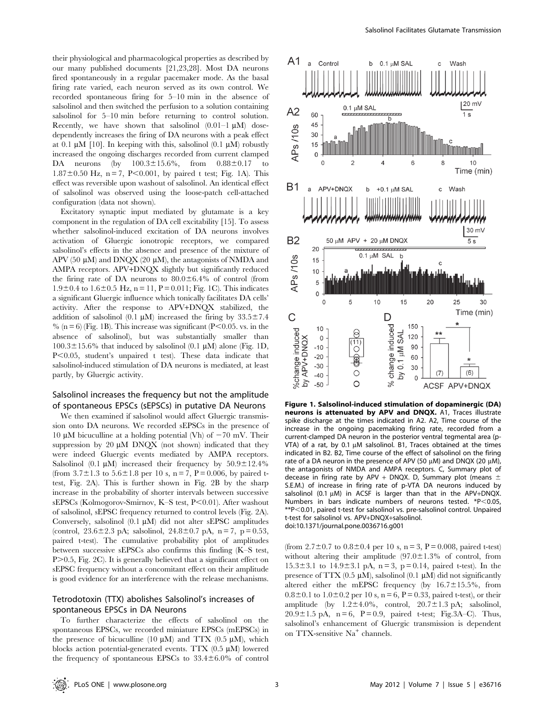their physiological and pharmacological properties as described by our many published documents [21,23,28]. Most DA neurons fired spontaneously in a regular pacemaker mode. As the basal firing rate varied, each neuron served as its own control. We recorded spontaneous firing for 5–10 min in the absence of salsolinol and then switched the perfusion to a solution containing salsolinol for 5–10 min before returning to control solution. Recently, we have shown that salsolinol  $(0.01-1 \mu M)$  dosedependently increases the firing of DA neurons with a peak effect at 0.1  $\mu$ M [10]. In keeping with this, salsolinol (0.1  $\mu$ M) robustly increased the ongoing discharges recorded from current clamped DA neurons (by  $100.3 \pm 15.6\%$ , from  $0.88 \pm 0.17$  to  $1.87\pm0.50$  Hz, n = 7, P<0.001, by paired t test; Fig. 1A). This effect was reversible upon washout of salsolinol. An identical effect of salsolinol was observed using the loose-patch cell-attached configuration (data not shown).

Excitatory synaptic input mediated by glutamate is a key component in the regulation of DA cell excitability [15]. To assess whether salsolinol-induced excitation of DA neurons involves activation of Gluergic ionotropic receptors, we compared salsolinol's effects in the absence and presence of the mixture of APV (50  $\mu$ M) and DNOX (20  $\mu$ M), the antagonists of NMDA and AMPA receptors. APV+DNQX slightly but significantly reduced the firing rate of DA neurons to  $80.0\pm6.4\%$  of control (from  $1.9\pm0.4$  to  $1.6\pm0.5$  Hz, n = 11, P = 0.011; Fig. 1C). This indicates a significant Gluergic influence which tonically facilitates DA cells' activity. After the response to APV+DNQX stabilized, the addition of salsolinol (0.1  $\mu$ M) increased the firing by 33.5 $\pm$ 7.4  $\%$  (n = 6) (Fig. 1B). This increase was significant (P<0.05, vs. in the absence of salsolinol), but was substantially smaller than  $100.3 \pm 15.6\%$  that induced by salsolinol (0.1  $\mu$ M) alone (Fig. 1D,  $P<0.05$ , student's unpaired t test). These data indicate that salsolinol-induced stimulation of DA neurons is mediated, at least partly, by Gluergic activity.

## Salsolinol increases the frequency but not the amplitude of spontaneous EPSCs (sEPSCs) in putative DA Neurons

We then examined if salsolinol would affect Gluergic transmission onto DA neurons. We recorded sEPSCs in the presence of 10  $\mu$ M bicuculline at a holding potential (Vh) of  $-70$  mV. Their suppression by 20  $\mu$ M DNQX (not shown) indicated that they were indeed Gluergic events mediated by AMPA receptors. Salsolinol (0.1  $\mu$ M) increased their frequency by 50.9 $\pm$ 12.4% (from  $3.7\pm1.3$  to  $5.6\pm1.8$  per 10 s, n = 7, P = 0.006, by paired ttest, Fig. 2A). This is further shown in Fig. 2B by the sharp increase in the probability of shorter intervals between successive sEPSCs (Kolmogorov-Smirnov, K–S test, P<0.01). After washout of salsolinol, sEPSC frequency returned to control levels (Fig. 2A). Conversely, salsolinol  $(0.1 \mu M)$  did not alter sEPSC amplitudes (control,  $23.6 \pm 2.3$  pA; salsolinol,  $24.8 \pm 0.7$  pA, n = 7, p = 0.53, paired t-test). The cumulative probability plot of amplitudes between successive sEPSCs also confirms this finding (K–S test, P.0.5, Fig. 2C). It is generally believed that a significant effect on sEPSC frequency without a concomitant effect on their amplitude is good evidence for an interference with the release mechanisms.

# Tetrodotoxin (TTX) abolishes Salsolinol's increases of spontaneous EPSCs in DA Neurons

To further characterize the effects of salsolinol on the spontaneous EPSCs, we recorded miniature EPSCs (mEPSCs) in the presence of bicuculline (10  $\mu$ M) and TTX (0.5  $\mu$ M), which blocks action potential-generated events. TTX  $(0.5 \mu M)$  lowered the frequency of spontaneous EPSCs to  $33.4 \pm 6.0$ % of control



Figure 1. Salsolinol-induced stimulation of dopaminergic (DA) neurons is attenuated by APV and DNQX. A1, Traces illustrate spike discharge at the times indicated in A2. A2, Time course of the increase in the ongoing pacemaking firing rate, recorded from a current-clamped DA neuron in the posterior ventral tegmental area (p-VTA) of a rat, by 0.1  $\mu$ M salsolinol. B1, Traces obtained at the times indicated in B2. B2, Time course of the effect of salsolinol on the firing rate of a DA neuron in the presence of APV (50  $\mu$ M) and DNQX (20  $\mu$ M), the antagonists of NMDA and AMPA receptors. C, Summary plot of decease in firing rate by APV + DNQX. D, Summary plot (means  $\pm$ S.E.M.) of increase in firing rate of p-VTA DA neurons induced by salsolinol (0.1  $\mu$ M) in ACSF is larger than that in the APV+DNQX. Numbers in bars indicate numbers of neurons tested. \*P<0.05, \*\*P<0.01, paired t-test for salsolinol vs. pre-salsolinol control. Unpaired t-test for salsolinol vs. APV+DNQX+salsolinol. doi:10.1371/journal.pone.0036716.g001

(from  $2.7 \pm 0.7$  to  $0.8 \pm 0.4$  per 10 s, n = 3, P = 0.008, paired t-test) without altering their amplitude  $(97.0 \pm 1.3\%$  of control, from  $15.3 \pm 3.1$  to  $14.9 \pm 3.1$  pA,  $n = 3$ ,  $p = 0.14$ , paired t-test). In the presence of TTX (0.5  $\mu$ M), salsolinol (0.1  $\mu$ M) did not significantly altered either the mEPSC frequency (by  $16.7 \pm 15.5$ %, from  $0.8 \pm 0.1$  to  $1.0 \pm 0.2$  per 10 s, n = 6, P = 0.33, paired t-test), or their amplitude (by  $1.2 \pm 4.0\%$ , control,  $20.7 \pm 1.3$  pA; salsolinol,  $20.9 \pm 1.5$  pA, n = 6, P = 0.9, paired t-test; Fig.3A–C). Thus, salsolinol's enhancement of Gluergic transmission is dependent on TTX-sensitive Na<sup>+</sup> channels.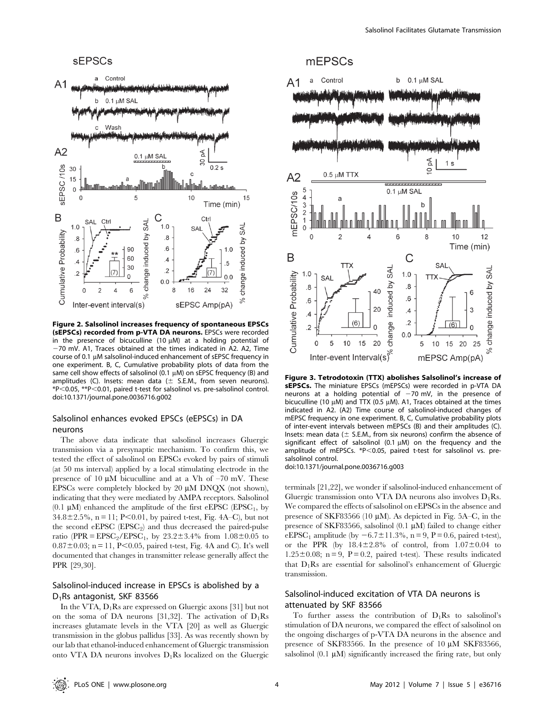

Figure 2. Salsolinol increases frequency of spontaneous EPSCs (sEPSCs) recorded from p-VTA DA neurons. EPSCs were recorded in the presence of bicuculline (10  $\mu$ M) at a holding potential of  $-70$  mV. A1, Traces obtained at the times indicated in A2. A2, Time course of 0.1 µM salsolinol-induced enhancement of sEPSC frequency in one experiment. B, C, Cumulative probability plots of data from the same cell show effects of salsolinol (0.1  $\mu$ M) on sEPSC frequency (B) and amplitudes (C). Insets: mean data ( $\pm$  S.E.M., from seven neurons). \*P<0.05, \*\*P<0.01, paired t-test for salsolinol vs. pre-salsolinol control. doi:10.1371/journal.pone.0036716.g002

## Salsolinol enhances evoked EPSCs (eEPSCs) in DA neurons

The above data indicate that salsolinol increases Gluergic transmission via a presynaptic mechanism. To confirm this, we tested the effect of salsolinol on EPSCs evoked by pairs of stimuli (at 50 ms interval) applied by a local stimulating electrode in the presence of 10  $\mu$ M bicuculline and at a Vh of  $-70$  mV. These EPSCs were completely blocked by 20  $\mu$ M DNQX (not shown), indicating that they were mediated by AMPA receptors. Salsolinol (0.1  $\mu$ M) enhanced the amplitude of the first eEPSC (EPSC<sub>1</sub>, by  $34.8 \pm 2.5\%$ , n = 11; P<0.01, by paired t-test, Fig. 4A–C), but not the second  $eEPSC$  ( $EPSC<sub>2</sub>$ ) and thus decreased the paired-pulse ratio (PPR =  $EPSC_2/EPSC_1$ , by  $23.2 \pm 3.4\%$  from  $1.08 \pm 0.05$  to  $0.87 \pm 0.03$ ; n = 11, P<0.05, paired t-test, Fig. 4A and C). It's well documented that changes in transmitter release generally affect the PPR [29,30].

# Salsolinol-induced increase in EPSCs is abolished by a D1Rs antagonist, SKF 83566

In the VTA,  $D_1Rs$  are expressed on Gluergic axons [31] but not on the soma of DA neurons [31,32]. The activation of  $D_1Rs$ increases glutamate levels in the VTA [20] as well as Gluergic transmission in the globus pallidus [33]. As was recently shown by our lab that ethanol-induced enhancement of Gluergic transmission onto VTA DA neurons involves  $D_1Rs$  localized on the Gluergic

# mEPSCs



Figure 3. Tetrodotoxin (TTX) abolishes Salsolinol's increase of sEPSCs. The miniature EPSCs (mEPSCs) were recorded in p-VTA DA neurons at a holding potential of  $-70$  mV, in the presence of bicuculline (10  $\mu$ M) and TTX (0.5  $\mu$ M). A1, Traces obtained at the times indicated in A2. (A2) Time course of salsolinol-induced changes of mEPSC frequency in one experiment. B, C, Cumulative probability plots of inter-event intervals between mEPSCs (B) and their amplitudes (C). Insets: mean data ( $\pm$  S.E.M., from six neurons) confirm the absence of significant effect of salsolinol (0.1  $\mu$ M) on the frequency and the amplitude of mEPSCs.  $*P<0.05$ , paired t-test for salsolinol vs. presalsolinol control.

doi:10.1371/journal.pone.0036716.g003

terminals [21,22], we wonder if salsolinol-induced enhancement of Gluergic transmission onto VTA DA neurons also involves  $D_1Rs$ . We compared the effects of salsolinol on eEPSCs in the absence and presence of SKF83566 (10  $\mu$ M). As depicted in Fig. 5A–C, in the presence of SKF83566, salsolinol  $(0.1 \mu M)$  failed to change either eEPSC<sub>1</sub> amplitude (by  $-6.7\pm11.3\%$ , n = 9, P = 0.6, paired t-test), or the PPR (by  $18.4\pm2.8\%$  of control, from  $1.07\pm0.04$  to 1.25 $\pm$ 0.08; n = 9, P = 0.2, paired t-test). These results indicated that  $D_1Rs$  are essential for salsolinol's enhancement of Gluergic transmission.

# Salsolinol-induced excitation of VTA DA neurons is attenuated by SKF 83566

To further assess the contribution of  $D_1Rs$  to salsolinol's stimulation of DA neurons, we compared the effect of salsolinol on the ongoing discharges of p-VTA DA neurons in the absence and presence of SKF83566. In the presence of  $10 \mu M$  SKF83566, salsolinol  $(0.1 \mu M)$  significantly increased the firing rate, but only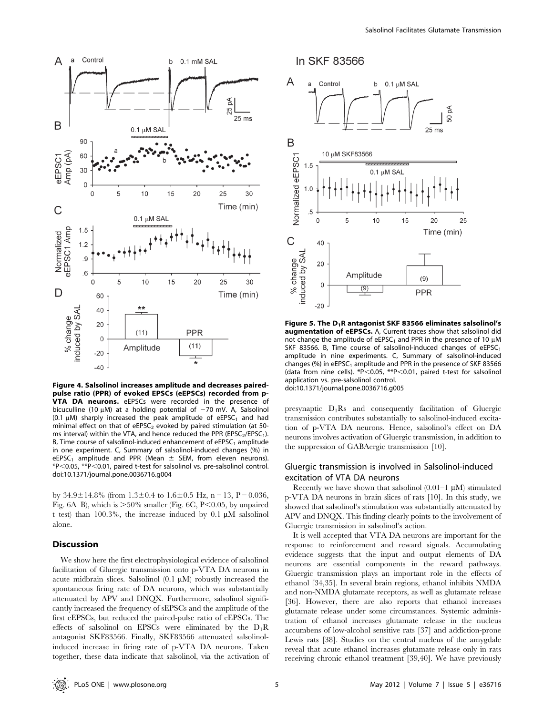

Figure 4. Salsolinol increases amplitude and decreases pairedpulse ratio (PPR) of evoked EPSCs (eEPSCs) recorded from p-**VTA DA neurons.** eEPSCs were recorded in the presence of bicuculline (10  $\mu$ M) at a holding potential of  $-70$  mV. A, Salsolinol (0.1  $\mu$ M) sharply increased the peak amplitude of eEPSC<sub>1</sub> and had minimal effect on that of  $eEPSC<sub>2</sub>$  evoked by paired stimulation (at 50ms interval) within the VTA, and hence reduced the PPR (EPSC<sub>2</sub>/EPSC<sub>1</sub>). B, Time course of salsolinol-induced enhancement of  $eEPSC<sub>1</sub>$  amplitude in one experiment. C, Summary of salsolinol-induced changes (%) in eEPSC<sub>1</sub> amplitude and PPR (Mean  $\pm$  SEM, from eleven neurons). \*P,0.05, \*\*P,0.01, paired t-test for salsolinol vs. pre-salsolinol control. doi:10.1371/journal.pone.0036716.g004

by  $34.9 \pm 14.8\%$  (from  $1.3 \pm 0.4$  to  $1.6 \pm 0.5$  Hz, n = 13, P = 0.036, Fig. 6A–B), which is  $>50\%$  smaller (Fig. 6C, P $< 0.05$ , by unpaired t test) than 100.3%, the increase induced by 0.1  $\mu$ M salsolinol alone.

#### Discussion

We show here the first electrophysiological evidence of salsolinol facilitation of Gluergic transmission onto p-VTA DA neurons in acute midbrain slices. Salsolinol  $(0.1 \mu M)$  robustly increased the spontaneous firing rate of DA neurons, which was substantially attenuated by APV and DNQX. Furthermore, salsolinol significantly increased the frequency of sEPSCs and the amplitude of the first eEPSCs, but reduced the paired-pulse ratio of eEPSCs. The effects of salsolinol on EPSCs were eliminated by the  $D_1R$ antagonist SKF83566. Finally, SKF83566 attenuated salsolinolinduced increase in firing rate of p-VTA DA neurons. Taken together, these data indicate that salsolinol, via the activation of



Figure 5. The  $D_1R$  antagonist SKF 83566 eliminates salsolinol's augmentation of eEPSCs. A, Current traces show that salsolinol did not change the amplitude of eEPSC<sub>1</sub> and PPR in the presence of 10  $\mu$ M SKF 83566. B, Time course of salsolinol-induced changes of  $eEPSC<sub>1</sub>$ amplitude in nine experiments. C, Summary of salsolinol-induced changes (%) in eEPSC<sub>1</sub> amplitude and PPR in the presence of SKF 83566 (data from nine cells). \*P $<$ 0.05, \*\*P $<$ 0.01, paired t-test for salsolinol application vs. pre-salsolinol control. doi:10.1371/journal.pone.0036716.g005

presynaptic D1Rs and consequently facilitation of Gluergic transmission contributes substantially to salsolinol-induced excitation of p-VTA DA neurons. Hence, salsolinol's effect on DA neurons involves activation of Gluergic transmission, in addition to the suppression of GABAergic transmission [10].

# Gluergic transmission is involved in Salsolinol-induced excitation of VTA DA neurons

Recently we have shown that salsolinol  $(0.01-1 \mu M)$  stimulated p-VTA DA neurons in brain slices of rats [10]. In this study, we showed that salsolinol's stimulation was substantially attenuated by APV and DNQX. This finding clearly points to the involvement of Gluergic transmission in salsolinol's action.

It is well accepted that VTA DA neurons are important for the response to reinforcement and reward signals. Accumulating evidence suggests that the input and output elements of DA neurons are essential components in the reward pathways. Gluergic transmission plays an important role in the effects of ethanol [34,35]. In several brain regions, ethanol inhibits NMDA and non-NMDA glutamate receptors, as well as glutamate release [36]. However, there are also reports that ethanol increases glutamate release under some circumstances. Systemic administration of ethanol increases glutamate release in the nucleus accumbens of low-alcohol sensitive rats [37] and addiction-prone Lewis rats [38]. Studies on the central nucleus of the amygdale reveal that acute ethanol increases glutamate release only in rats receiving chronic ethanol treatment [39,40]. We have previously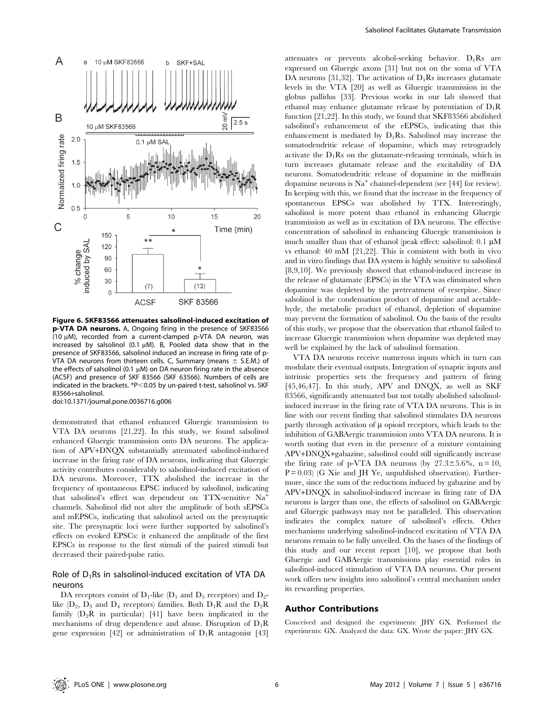

Figure 6. SKF83566 attenuates salsolinol-induced excitation of p-VTA DA neurons. A, Ongoing firing in the presence of SKF83566 (10  $\mu$ M), recorded from a current-clamped p-VTA DA neuron, was increased by salsolinol (0.1  $\mu$ M). B, Pooled data show that in the presence of SKF83566, salsolinol induced an increase in firing rate of p-VTA DA neurons from thirteen cells. C, Summary (means  $\pm$  S.E.M.) of the effects of salsolinol (0.1  $\mu$ M) on DA neuron firing rate in the absence (ACSF) and presence of SKF 83566 (SKF 63566). Numbers of cells are indicated in the brackets.  $*P<0.05$  by un-paired t-test, salsolinol vs. SKF 83566+salsolinol.

doi:10.1371/journal.pone.0036716.g006

demonstrated that ethanol enhanced Gluergic transmission to VTA DA neurons [21,22]. In this study, we found salsolinol enhanced Gluergic transmission onto DA neurons. The application of APV+DNQX substantially attenuated salsolinol-induced increase in the firing rate of DA neurons, indicating that Gluergic activity contributes considerably to salsolinol-induced excitation of DA neurons. Moreover, TTX abolished the increase in the frequency of spontaneous EPSC induced by salsolinol, indicating that salsolinol's effect was dependent on TTX-sensitive Na<sup>+</sup> channels. Salsolinol did not alter the amplitude of both sEPSCs and mEPSCs, indicating that salsolinol acted on the presynaptic site. The presynaptic loci were further supported by salsolinol's effects on evoked EPSCs: it enhanced the amplitude of the first EPSCs in response to the first stimuli of the paired stimuli but decreased their paired-pulse ratio.

# Role of  $D_1$ Rs in salsolinol-induced excitation of VTA DA neurons

DA receptors consist of  $D_1$ -like ( $D_1$  and  $D_5$  receptors) and  $D_2$ like  $(D_2, D_3$  and  $D_4$  receptors) families. Both  $D_1R$  and the  $D_2R$ family  $(D_2R$  in particular) [41] have been implicated in the mechanisms of drug dependence and abuse. Disruption of  $D_1R$ gene expression [42] or administration of  $D_1R$  antagonist [43] attenuates or prevents alcohol-seeking behavior.  $D_1Rs$  are expressed on Gluergic axons [31] but not on the soma of VTA DA neurons [31,32]. The activation of  $D_1Rs$  increases glutamate levels in the VTA [20] as well as Gluergic transmission in the globus pallidus [33]. Previous works in our lab showed that ethanol may enhance glutamate release by potentiation of  $D_1R$ function [21,22]. In this study, we found that SKF83566 abolished salsolinol's enhancement of the eEPSCs, indicating that this enhancement is mediated by  $D_1Rs$ . Salsolinol may increase the somatodendritic release of dopamine, which may retrogradely activate the  $D_1R_s$  on the glutamate-releasing terminals, which in turn increases glutamate release and the excitability of DA neurons. Somatodendritic release of dopamine in the midbrain dopamine neurons is  $Na<sup>+</sup> channel-dependent (see [44] for review).$ In keeping with this, we found that the increase in the frequency of spontaneous EPSCs was abolished by TTX. Interestingly, salsolinol is more potent than ethanol in enhancing Gluergic transmission as well as in excitation of DA neurons. The effective concentration of salsolinol in enhancing Gluergic transmission is much smaller than that of ethanol (peak effect: salsolinol:  $0.1 \mu M$ vs ethanol: 40 mM [21,22]. This is consistent with both in vivo and in vitro findings that DA system is highly sensitive to salsolinol [8,9,10]. We previously showed that ethanol-induced increase in the release of glutamate (EPSCs) in the VTA was eliminated when dopamine was depleted by the pretreatment of reserpine. Since salsolinol is the condensation product of dopamine and acetaldehyde, the metabolic product of ethanol, depletion of dopamine may prevent the formation of salsolinol. On the basis of the results of this study, we propose that the observation that ethanol failed to increase Gluergic transmission when dopamine was depleted may well be explained by the lack of salsolinol formation.

VTA DA neurons receive numerous inputs which in turn can modulate their eventual outputs. Integration of synaptic inputs and intrinsic properties sets the frequency and pattern of firing [45,46,47]. In this study, APV and DNQX, as well as SKF 83566, significantly attenuated but not totally abolished salsolinolinduced increase in the firing rate of VTA DA neurons. This is in line with our recent finding that salsolinol stimulates DA neurons partly through activation of  $\mu$  opioid receptors, which leads to the inhibition of GABAergic transmission onto VTA DA neurons. It is worth noting that even in the presence of a mixture containing APV+DNQX+gabazine, salsolinol could still significantly increase the firing rate of p-VTA DA neurons (by  $27.3 \pm 5.6\%$ , n = 10,  $P = 0.03$  (G Xie and JH Ye, unpublished observation). Furthermore, since the sum of the reductions induced by gabazine and by APV+DNQX in salsolinol-induced increase in firing rate of DA neurons is larger than one, the effects of salsolinol on GABAergic and Gluergic pathways may not be paralleled. This observation indicates the complex nature of salsolinol's effects. Other mechanisms underlying salsolinol-induced excitation of VTA DA neurons remain to be fully unveiled. On the bases of the findings of this study and our recent report [10], we propose that both Gluergic and GABAergic transmissions play essential roles in salsolinol-induced stimulation of VTA DA neurons. Our present work offers new insights into salsolinol's central mechanism under its rewarding properties.

#### Author Contributions

Conceived and designed the experiments: JHY GX. Performed the experiments: GX. Analyzed the data: GX. Wrote the paper: JHY GX.